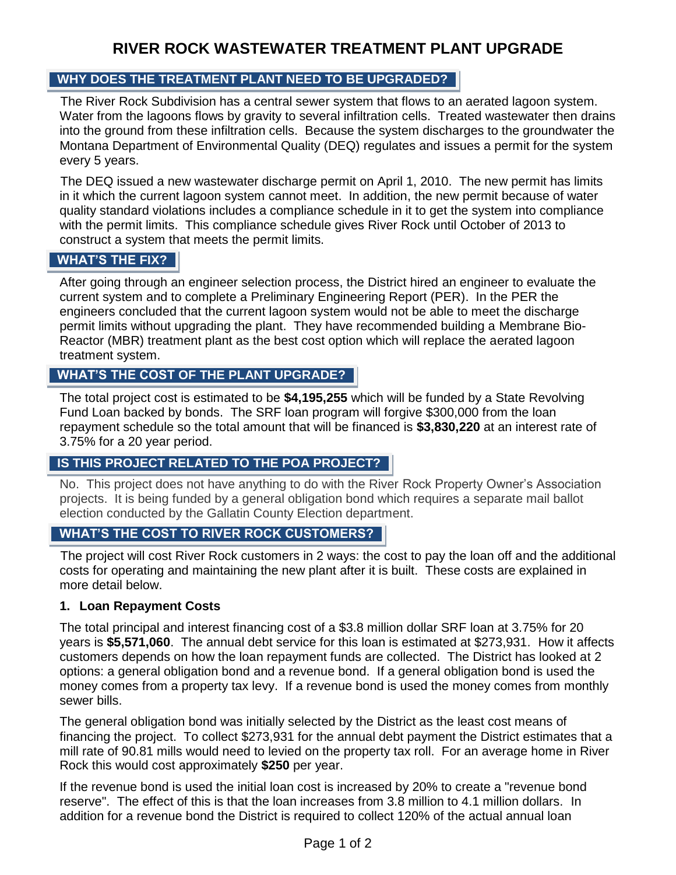# **RIVER ROCK WASTEWATER TREATMENT PLANT UPGRADE**

## **WHY DOES THE TREATMENT PLANT NEED TO BE UPGRADED? WHY DOES THE TREATMENT PLANT NEED TO BE UPGRADED?**

The River Rock Subdivision has a central sewer system that flows to an aerated lagoon system. Water from the lagoons flows by gravity to several infiltration cells. Treated wastewater then drains into the ground from these infiltration cells. Because the system discharges to the groundwater the Montana Department of Environmental Quality (DEQ) regulates and issues a permit for the system every 5 years.

The DEQ issued a new wastewater discharge permit on April 1, 2010. The new permit has limits in it which the current lagoon system cannot meet. In addition, the new permit because of water quality standard violations includes a compliance schedule in it to get the system into compliance with the permit limits. This compliance schedule gives River Rock until October of 2013 to construct a system that meets the permit limits.

#### **WHAT'S THE FIX? WHAT'S THE FIX?**

After going through an engineer selection process, the District hired an engineer to evaluate the current system and to complete a [Preliminary Engineering Report \(PER\).](file:///C:/Users/Ron.BIGSKYWATER/AppData/Local/Microsoft/Windows/Local%20Settings/Temporary%20Internet%20Files/Content.IE5/riverrockwsd/wwtp_project/River%20Rock%20Alternate%20Analysis%20PER%20Report.pdf) In the PER the engineers concluded that the current lagoon system would not be able to meet the discharge permit limits without upgrading the plant. They have recommended building a [Membrane Bio-](http://www.water.siemens.com/en/products/biological_treatment/membrane_biological_reactor_systems_mbr/Pages/default.aspx?stc=wwiis250076)[Reactor \(MBR\)](http://www.water.siemens.com/en/products/biological_treatment/membrane_biological_reactor_systems_mbr/Pages/default.aspx?stc=wwiis250076) treatment plant as the best cost option which will replace the aerated lagoon treatment system.

#### **WHAT'S THE COST OF THE PLANT UPGRADE? WHAT'S THE COST OF THE PLANT UPGRADE?**

The total project cost is estimated to be **\$4,195,255** which will be funded by a [State Revolving](http://www.deq.mt.gov/wqinfo/srf/default.mcpx)  [Fund Loan](http://www.deq.mt.gov/wqinfo/srf/default.mcpx) backed by bonds. The SRF loan program will forgive \$300,000 from the loan repayment schedule so the total amount that will be financed is **\$3,830,220** at an interest rate of 3.75% for a 20 year period.

#### **IS THIS PROJECT RELATED TO THE POS PROJECT? IS THIS PROJECT RELATED TO THE POA PROJECT?**

No. This project does not have anything to do with the River Rock Property Owner's Association projects. It is being funded by a general obligation bond which requires a separate mail ballot election conducted by the Gallatin County Election department.

## **WHAT'S THE COST TO RIVER ROCK CUSTOMERS? WHAT'S THE COST TO RIVER ROCK CUSTOMERS?**

The project will cost River Rock customers in 2 ways: the cost to pay the loan off and the additional costs for operating and maintaining the new plant after it is built. These costs are explained in more detail below.

#### **1. Loan Repayment Costs**

The total principal and interest financing cost of a \$3.8 million dollar SRF loan at 3.75% for 20 years is **\$5,571,060**. The annual debt service for this loan is estimated at \$273,931. How it affects customers depends on how the loan repayment funds are collected. The District has looked at 2 options: a general obligation bond and a revenue bond. If a general obligation bond is used the money comes from a property tax levy. If a revenue bond is used the money comes from monthly sewer bills.

The general obligation bond was initially selected by the District as the least cost means of financing the project. To collect \$273,931 for the annual debt payment the District estimates that a mill rate of 90.81 mills would need to levied on the property tax roll. For an average home in River Rock this would cost approximately **\$250** per year.

If the revenue bond is used the initial loan cost is increased by 20% to create a "revenue bond reserve". The effect of this is that the loan increases from 3.8 million to 4.1 million dollars. In addition for a revenue bond the District is required to collect 120% of the actual annual loan